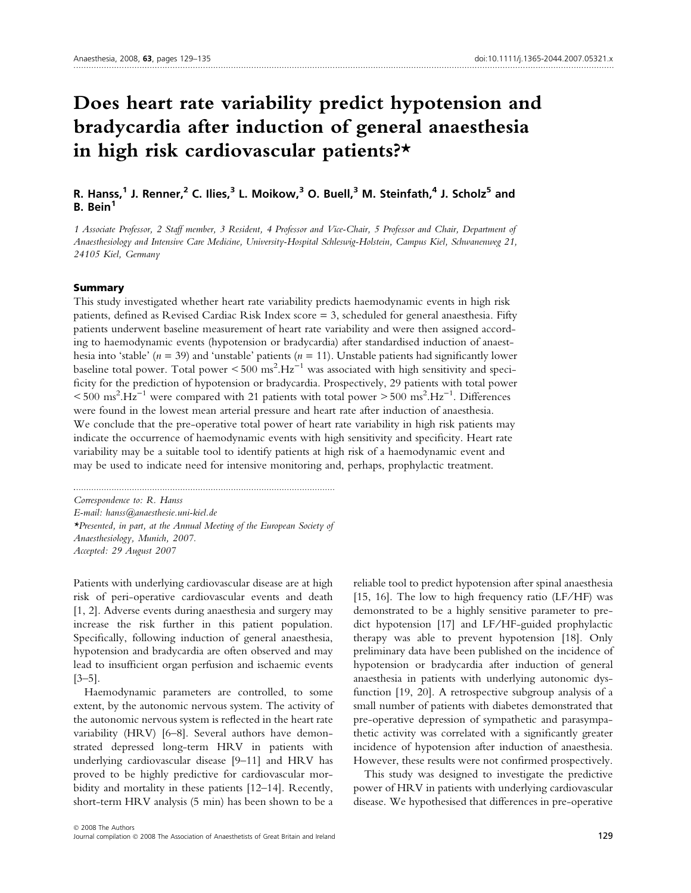# Does heart rate variability predict hypotension and bradycardia after induction of general anaesthesia in high risk cardiovascular patients?\*

# R. Hanss,<sup>1</sup> J. Renner,<sup>2</sup> C. Ilies,<sup>3</sup> L. Moikow,<sup>3</sup> O. Buell,<sup>3</sup> M. Steinfath,<sup>4</sup> J. Scholz<sup>5</sup> and B. Bein<sup>1</sup>

1 Associate Professor, 2 Staff member, 3 Resident, 4 Professor and Vice-Chair, 5 Professor and Chair, Department of Anaesthesiology and Intensive Care Medicine, University-Hospital Schleswig-Holstein, Campus Kiel, Schwanenweg 21, 24105 Kiel, Germany

#### Summary

This study investigated whether heart rate variability predicts haemodynamic events in high risk patients, defined as Revised Cardiac Risk Index score = 3, scheduled for general anaesthesia. Fifty patients underwent baseline measurement of heart rate variability and were then assigned according to haemodynamic events (hypotension or bradycardia) after standardised induction of anaesthesia into 'stable' ( $n = 39$ ) and 'unstable' patients ( $n = 11$ ). Unstable patients had significantly lower baseline total power. Total power  $\leq 500 \text{ ms}^2 \text{.Hz}^{-1}$  was associated with high sensitivity and specificity for the prediction of hypotension or bradycardia. Prospectively, 29 patients with total power  $< 500 \text{ ms}^2 \cdot \text{Hz}^{-1}$  were compared with 21 patients with total power  $> 500 \text{ ms}^2 \cdot \text{Hz}^{-1}$ . Differences were found in the lowest mean arterial pressure and heart rate after induction of anaesthesia. We conclude that the pre-operative total power of heart rate variability in high risk patients may indicate the occurrence of haemodynamic events with high sensitivity and specificity. Heart rate variability may be a suitable tool to identify patients at high risk of a haemodynamic event and may be used to indicate need for intensive monitoring and, perhaps, prophylactic treatment.

Correspondence to: R. Hanss E-mail: hanss@anaesthesie.uni-kiel.de \*Presented, in part, at the Annual Meeting of the European Society of Anaesthesiology, Munich, 2007. Accepted: 29 August 2007

.......................................................................................................

Patients with underlying cardiovascular disease are at high risk of peri-operative cardiovascular events and death [1, 2]. Adverse events during anaesthesia and surgery may increase the risk further in this patient population. Specifically, following induction of general anaesthesia, hypotension and bradycardia are often observed and may lead to insufficient organ perfusion and ischaemic events [3–5].

Haemodynamic parameters are controlled, to some extent, by the autonomic nervous system. The activity of the autonomic nervous system is reflected in the heart rate variability (HRV) [6–8]. Several authors have demonstrated depressed long-term HRV in patients with underlying cardiovascular disease [9–11] and HRV has proved to be highly predictive for cardiovascular morbidity and mortality in these patients [12–14]. Recently, short-term HRV analysis (5 min) has been shown to be a

reliable tool to predict hypotension after spinal anaesthesia [15, 16]. The low to high frequency ratio  $(LF/HF)$  was demonstrated to be a highly sensitive parameter to predict hypotension [17] and LF ⁄ HF-guided prophylactic therapy was able to prevent hypotension [18]. Only preliminary data have been published on the incidence of hypotension or bradycardia after induction of general anaesthesia in patients with underlying autonomic dysfunction [19, 20]. A retrospective subgroup analysis of a small number of patients with diabetes demonstrated that pre-operative depression of sympathetic and parasympathetic activity was correlated with a significantly greater incidence of hypotension after induction of anaesthesia. However, these results were not confirmed prospectively.

This study was designed to investigate the predictive power of HRV in patients with underlying cardiovascular disease. We hypothesised that differences in pre-operative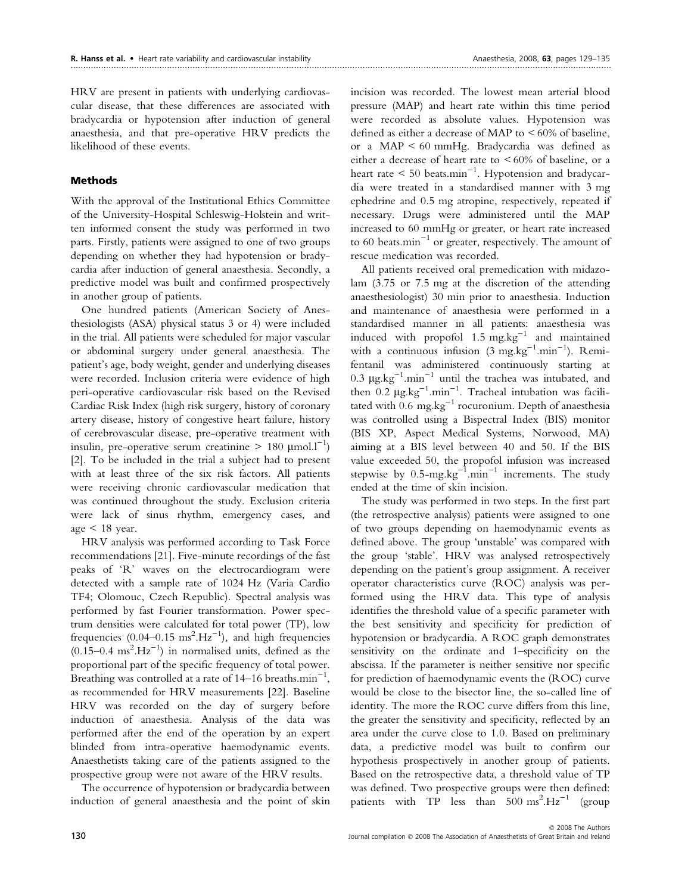HRV are present in patients with underlying cardiovascular disease, that these differences are associated with bradycardia or hypotension after induction of general anaesthesia, and that pre-operative HRV predicts the likelihood of these events.

## Methods

With the approval of the Institutional Ethics Committee of the University-Hospital Schleswig-Holstein and written informed consent the study was performed in two parts. Firstly, patients were assigned to one of two groups depending on whether they had hypotension or bradycardia after induction of general anaesthesia. Secondly, a predictive model was built and confirmed prospectively in another group of patients.

One hundred patients (American Society of Anesthesiologists (ASA) physical status 3 or 4) were included in the trial. All patients were scheduled for major vascular or abdominal surgery under general anaesthesia. The patient's age, body weight, gender and underlying diseases were recorded. Inclusion criteria were evidence of high peri-operative cardiovascular risk based on the Revised Cardiac Risk Index (high risk surgery, history of coronary artery disease, history of congestive heart failure, history of cerebrovascular disease, pre-operative treatment with insulin, pre-operative serum creatinine  $> 180 \text{ }\mu\text{mol.}l^{-1}$ ) [2]. To be included in the trial a subject had to present with at least three of the six risk factors. All patients were receiving chronic cardiovascular medication that was continued throughout the study. Exclusion criteria were lack of sinus rhythm, emergency cases, and age  $< 18$  year.

HRV analysis was performed according to Task Force recommendations [21]. Five-minute recordings of the fast peaks of 'R' waves on the electrocardiogram were detected with a sample rate of 1024 Hz (Varia Cardio TF4; Olomouc, Czech Republic). Spectral analysis was performed by fast Fourier transformation. Power spectrum densities were calculated for total power (TP), low frequencies  $(0.04 - 0.15 \text{ ms}^2 \text{.Hz}^{-1})$ , and high frequencies  $(0.15-0.4 \text{ ms}^2 \cdot \text{Hz}^{-1})$  in normalised units, defined as the proportional part of the specific frequency of total power. Breathing was controlled at a rate of  $14-16$  breaths.min<sup>-1</sup>, as recommended for HRV measurements [22]. Baseline HRV was recorded on the day of surgery before induction of anaesthesia. Analysis of the data was performed after the end of the operation by an expert blinded from intra-operative haemodynamic events. Anaesthetists taking care of the patients assigned to the prospective group were not aware of the HRV results.

The occurrence of hypotension or bradycardia between induction of general anaesthesia and the point of skin incision was recorded. The lowest mean arterial blood pressure (MAP) and heart rate within this time period were recorded as absolute values. Hypotension was defined as either a decrease of MAP to  $\leq 60\%$  of baseline, or a MAP < 60 mmHg. Bradycardia was defined as either a decrease of heart rate to < 60% of baseline, or a heart rate  $\leq 50$  beats. ${\rm min}^{-1}$ . Hypotension and bradycardia were treated in a standardised manner with 3 mg ephedrine and 0.5 mg atropine, respectively, repeated if necessary. Drugs were administered until the MAP increased to 60 mmHg or greater, or heart rate increased to 60 beats.min<sup>-1</sup> or greater, respectively. The amount of rescue medication was recorded.

All patients received oral premedication with midazolam (3.75 or 7.5 mg at the discretion of the attending anaesthesiologist) 30 min prior to anaesthesia. Induction and maintenance of anaesthesia were performed in a standardised manner in all patients: anaesthesia was induced with propofol  $1.5 \text{ mg} \cdot \text{kg}^{-1}$  and maintained with a continuous infusion  $(3 \text{ mg} \cdot \text{kg}^{-1} \cdot \text{min}^{-1})$ . Remifentanil was administered continuously starting at 0.3  $\mu$ g.kg<sup>-1</sup>.min<sup>-1</sup> until the trachea was intubated, and then  $0.2 \mu g kg^{-1} . \text{min}^{-1}$ . Tracheal intubation was facilitated with  $0.6 \text{ mg} \cdot \text{kg}^{-1}$  rocuronium. Depth of anaesthesia was controlled using a Bispectral Index (BIS) monitor (BIS XP, Aspect Medical Systems, Norwood, MA) aiming at a BIS level between 40 and 50. If the BIS value exceeded 50, the propofol infusion was increased stepwise by  $0.5$ -mg.kg $^{-1}$ .min $^{-1}$  increments. The study ended at the time of skin incision.

The study was performed in two steps. In the first part (the retrospective analysis) patients were assigned to one of two groups depending on haemodynamic events as defined above. The group 'unstable' was compared with the group 'stable'. HRV was analysed retrospectively depending on the patient's group assignment. A receiver operator characteristics curve (ROC) analysis was performed using the HRV data. This type of analysis identifies the threshold value of a specific parameter with the best sensitivity and specificity for prediction of hypotension or bradycardia. A ROC graph demonstrates sensitivity on the ordinate and 1–specificity on the abscissa. If the parameter is neither sensitive nor specific for prediction of haemodynamic events the (ROC) curve would be close to the bisector line, the so-called line of identity. The more the ROC curve differs from this line, the greater the sensitivity and specificity, reflected by an area under the curve close to 1.0. Based on preliminary data, a predictive model was built to confirm our hypothesis prospectively in another group of patients. Based on the retrospective data, a threshold value of TP was defined. Two prospective groups were then defined: patients with  $TP$  less than  $500 \text{ ms}^2.Hz^{-1}$  (group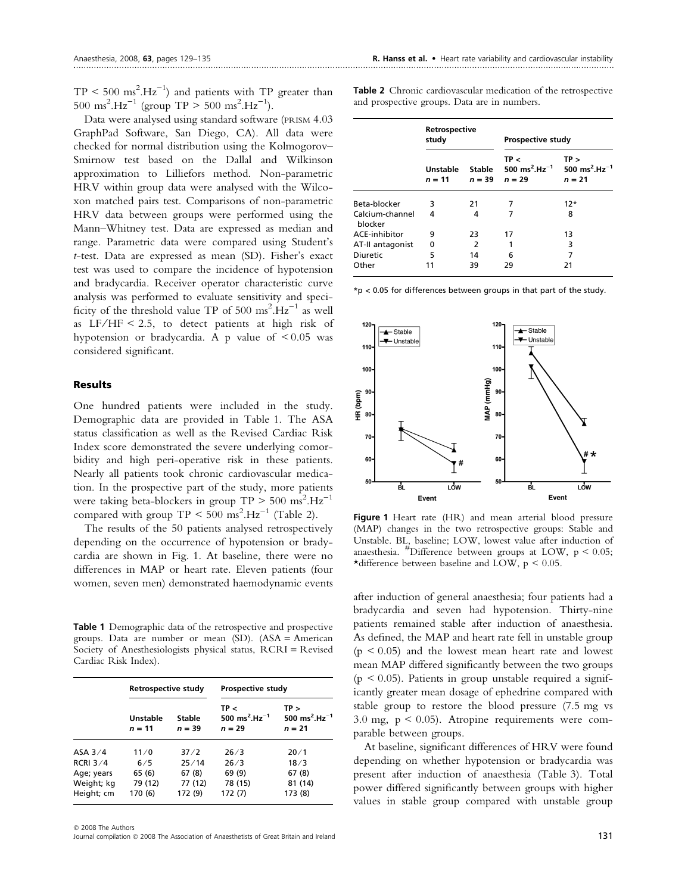$TP < 500 \text{ ms}^2 \text{.Hz}^{-1}$ ) and patients with TP greater than  $500 \text{ ms}^2 \cdot \text{Hz}^{-1}$  (group TP  $> 500 \text{ ms}^2 \cdot \text{Hz}^{-1}$ ).

Data were analysed using standard software (PRISM 4.03 GraphPad Software, San Diego, CA). All data were checked for normal distribution using the Kolmogorov– Smirnow test based on the Dallal and Wilkinson approximation to Lilliefors method. Non-parametric HRV within group data were analysed with the Wilcoxon matched pairs test. Comparisons of non-parametric HRV data between groups were performed using the Mann–Whitney test. Data are expressed as median and range. Parametric data were compared using Student's t-test. Data are expressed as mean (SD). Fisher's exact test was used to compare the incidence of hypotension and bradycardia. Receiver operator characteristic curve analysis was performed to evaluate sensitivity and specificity of the threshold value TP of 500  $\text{ms}^2 \cdot \text{Hz}^{-1}$  as well as  $LF/HF < 2.5$ , to detect patients at high risk of hypotension or bradycardia. A p value of  $\leq 0.05$  was considered significant.

## Results

One hundred patients were included in the study. Demographic data are provided in Table 1. The ASA status classification as well as the Revised Cardiac Risk Index score demonstrated the severe underlying comorbidity and high peri-operative risk in these patients. Nearly all patients took chronic cardiovascular medication. In the prospective part of the study, more patients were taking beta-blockers in group  $TP > 500 \text{ ms}^2 \text{.Hz}^{-1}$ compared with group  $TP < 500 \text{ ms}^2.Hz^{-1}$  (Table 2).

The results of the 50 patients analysed retrospectively depending on the occurrence of hypotension or bradycardia are shown in Fig. 1. At baseline, there were no differences in MAP or heart rate. Eleven patients (four women, seven men) demonstrated haemodynamic events

Table 1 Demographic data of the retrospective and prospective groups. Data are number or mean (SD). (ASA = American Society of Anesthesiologists physical status, RCRI = Revised Cardiac Risk Index).

|            | <b>Retrospective study</b>  |                    | <b>Prospective study</b>                                  |                                                           |
|------------|-----------------------------|--------------------|-----------------------------------------------------------|-----------------------------------------------------------|
|            | <b>Unstable</b><br>$n = 11$ | Stable<br>$n = 39$ | TP <<br>500 ms <sup>2</sup> .Hz <sup>-1</sup><br>$n = 29$ | TP ><br>500 ms <sup>2</sup> .Hz <sup>-1</sup><br>$n = 21$ |
| ASA $3/4$  | 11/0                        | 37/2               | 26/3                                                      | 20/1                                                      |
| RCRI $3/4$ | 6/5                         | 25/14              | 26/3                                                      | 18/3                                                      |
| Age; years | 65 (6)                      | 67(8)              | 69 (9)                                                    | 67(8)                                                     |
| Weight; kg | 79 (12)                     | 77 (12)            | 78 (15)                                                   | 81 (14)                                                   |
| Height; cm | 170 (6)                     | 172 (9)            | 172 (7)                                                   | 173 (8)                                                   |

 $©$  2008 The Authors

Journal compilation  $\odot$  2008 The Association of Anaesthetists of Great Britain and Ireland 131

Table 2 Chronic cardiovascular medication of the retrospective and prospective groups. Data are in numbers.

|                            | Retrospective<br>study |                    | <b>Prospective study</b>                                  |                                                           |
|----------------------------|------------------------|--------------------|-----------------------------------------------------------|-----------------------------------------------------------|
|                            | Unstable<br>$n = 11$   | Stable<br>$n = 39$ | TP <<br>500 ms <sup>2</sup> .Hz <sup>-1</sup><br>$n = 29$ | TP ><br>500 ms <sup>2</sup> .Hz <sup>-1</sup><br>$n = 21$ |
| Beta-blocker               | 3                      | 21                 | 7                                                         | $12*$                                                     |
| Calcium-channel<br>blocker | 4                      | 4                  |                                                           | 8                                                         |
| ACE-inhibitor              | 9                      | 23                 | 17                                                        | 13                                                        |
| AT-II antagonist           | 0                      | 2                  | 1                                                         | 3                                                         |
| Diuretic                   | 5                      | 14                 | 6                                                         | 7                                                         |
| Other                      | 11                     | 39                 | 29                                                        | 21                                                        |

\*p < 0.05 for differences between groups in that part of the study.



Figure 1 Heart rate (HR) and mean arterial blood pressure (MAP) changes in the two retrospective groups: Stable and Unstable. BL, baseline; LOW, lowest value after induction of anaesthesia.  $\text{\textsuperscript{#}}$ Difference between groups at LOW, p < 0.05; \*difference between baseline and LOW,  $p < 0.05$ .

after induction of general anaesthesia; four patients had a bradycardia and seven had hypotension. Thirty-nine patients remained stable after induction of anaesthesia. As defined, the MAP and heart rate fell in unstable group  $(p < 0.05)$  and the lowest mean heart rate and lowest mean MAP differed significantly between the two groups (p < 0.05). Patients in group unstable required a significantly greater mean dosage of ephedrine compared with stable group to restore the blood pressure (7.5 mg vs 3.0 mg,  $p < 0.05$ ). Atropine requirements were comparable between groups.

At baseline, significant differences of HRV were found depending on whether hypotension or bradycardia was present after induction of anaesthesia (Table 3). Total power differed significantly between groups with higher values in stable group compared with unstable group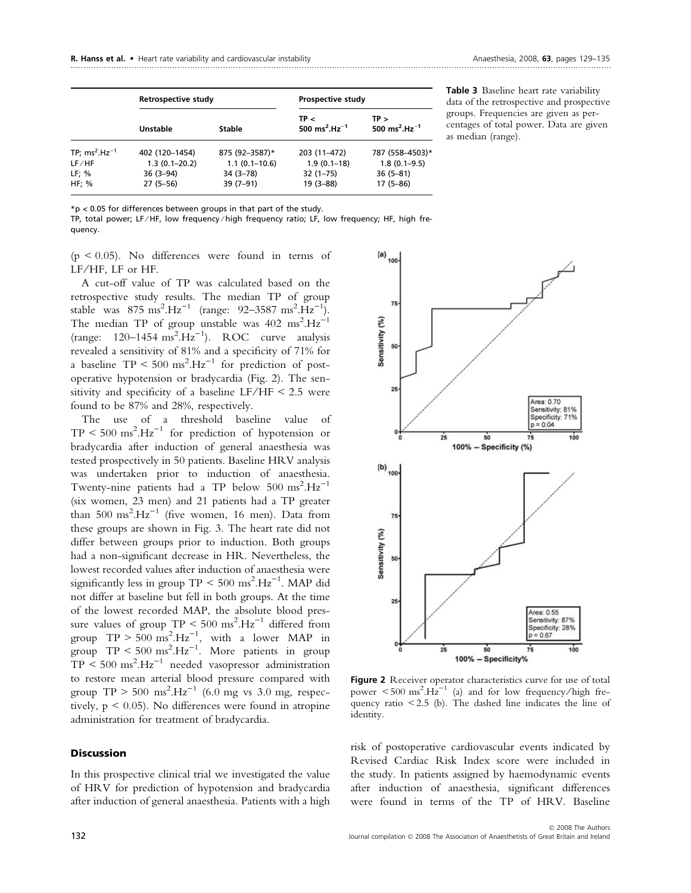|                    | Retrospective study             |                               | <b>Prospective study</b>                      |                                               |  |
|--------------------|---------------------------------|-------------------------------|-----------------------------------------------|-----------------------------------------------|--|
|                    | Unstable                        | Stable                        | TP <<br>500 ms <sup>2</sup> .Hz <sup>-1</sup> | TP ><br>500 ms <sup>2</sup> .Hz <sup>-1</sup> |  |
| TP; $ms^2.Hz^{-1}$ | 402 (120-1454)                  | 875 (92-3587)*                | 203 (11-472)                                  | 787 (558-4503)*                               |  |
| LF/HF<br>LF: %     | $1.3(0.1 - 20.2)$<br>$36(3-94)$ | $1.1(0.1-10.6)$<br>$34(3-78)$ | $1.9(0.1-18)$<br>$32(1 - 75)$                 | $1.8(0.1 - 9.5)$<br>$36(5-81)$                |  |
| HF; %              | $27(5-56)$                      | $39(7-91)$                    | $19(3 - 88)$                                  | $17(5-86)$                                    |  |

Table 3 Baseline heart rate variability data of the retrospective and prospective groups. Frequencies are given as percentages of total power. Data are given as median (range).

\*p < 0.05 for differences between groups in that part of the study.

TP, total power; LF ⁄ HF, low frequency ⁄ high frequency ratio; LF, low frequency; HF, high frequency.

 $(p < 0.05)$ . No differences were found in terms of LF/HF, LF or HF.

A cut-off value of TP was calculated based on the retrospective study results. The median TP of group stable was  $875 \text{ ms}^2 \text{.Hz}^{-1}$  (range:  $92-3587 \text{ ms}^2 \text{.Hz}^{-1}$ ). The median TP of group unstable was  $402 \text{ ms}^2 \text{.Hz}^{-1}$  $(range: 120-1454 \text{ ms}^2 \cdot Hz^{-1})$ . ROC curve analysis revealed a sensitivity of 81% and a specificity of 71% for a baseline  $TP < 500 \text{ ms}^2.Hz^{-1}$  for prediction of postoperative hypotension or bradycardia (Fig. 2). The sensitivity and specificity of a baseline  $LF/HF < 2.5$  were found to be 87% and 28%, respectively.

The use of a threshold baseline value of  $TP < 500 \text{ ms}^2 \text{.Hz}^{-1}$  for prediction of hypotension or bradycardia after induction of general anaesthesia was tested prospectively in 50 patients. Baseline HRV analysis was undertaken prior to induction of anaesthesia. Twenty-nine patients had a TP below  $500 \text{ ms}^2 \text{.Hz}^{-1}$ (six women, 23 men) and 21 patients had a TP greater than  $500 \text{ ms}^2$ .Hz<sup>-1</sup> (five women, 16 men). Data from these groups are shown in Fig. 3. The heart rate did not differ between groups prior to induction. Both groups had a non-significant decrease in HR. Nevertheless, the lowest recorded values after induction of anaesthesia were significantly less in group  $TP < 500 \text{ ms}^2.Hz^{-1}$ . MAP did not differ at baseline but fell in both groups. At the time of the lowest recorded MAP, the absolute blood pressure values of group  $TP < 500 \text{ ms}^2.Hz^{-1}$  differed from group  $TP > 500 \text{ ms}^2.Hz^{-1}$ , with a lower MAP in group  $TP < 500 \text{ ms}^2 \text{. Hz}^{-1}$ . More patients in group  $TP < 500 \text{ ms}^2 \text{. Hz}^{-1}$  needed vasopressor administration to restore mean arterial blood pressure compared with group  $TP > 500 \text{ ms}^2 \text{.Hz}^{-1}$  (6.0 mg vs 3.0 mg, respectively,  $p < 0.05$ ). No differences were found in atropine administration for treatment of bradycardia.

## **Discussion**

In this prospective clinical trial we investigated the value of HRV for prediction of hypotension and bradycardia after induction of general anaesthesia. Patients with a high



Figure 2 Receiver operator characteristics curve for use of total power  $\lt$  500 ms<sup>2</sup>.H<sub>z</sub><sup>-1</sup> (a) and for low frequency/high frequency ratio  $\leq$  2.5 (b). The dashed line indicates the line of identity.

risk of postoperative cardiovascular events indicated by Revised Cardiac Risk Index score were included in the study. In patients assigned by haemodynamic events after induction of anaesthesia, significant differences were found in terms of the TP of HRV. Baseline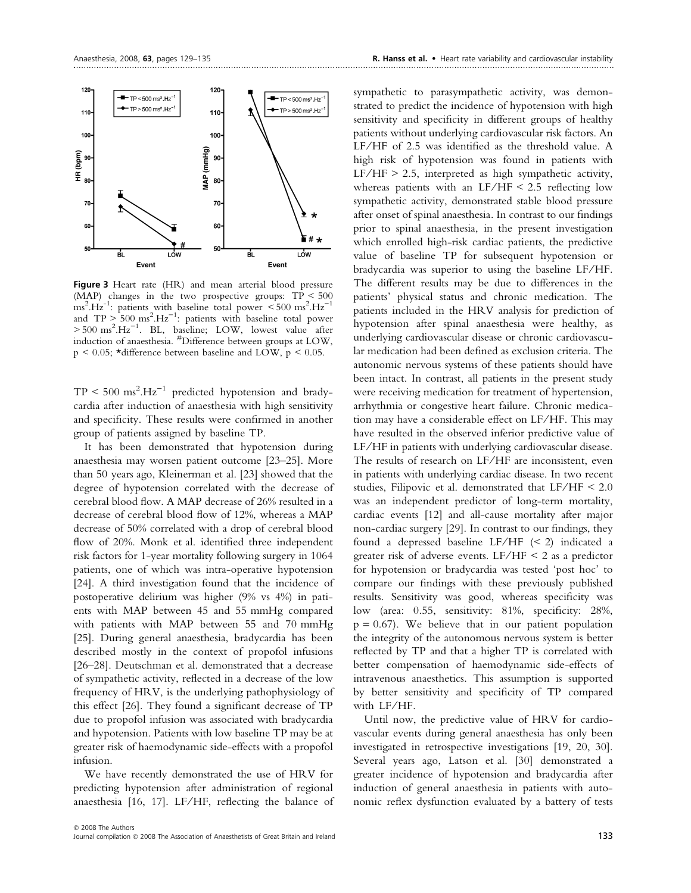

Figure 3 Heart rate (HR) and mean arterial blood pressure (MAP) changes in the two prospective groups: TP < 500  $\frac{1}{2}$  ms<sup>2</sup>.Hz<sup>-1</sup>: patients with baseline total power <500 ms<sup>2</sup>.Hz<sup>-1</sup> and  $TP > 500 \text{ ms}^2 \text{.Hz}^{-1}$ : patients with baseline total power  $> 500 \text{ ms}^2 \cdot \text{Hz}^{-1}$ . BL, baseline; LOW, lowest value after induction of anaesthesia. #Difference between groups at LOW,  $p \le 0.05$ ;  $\star$ difference between baseline and LOW,  $p \le 0.05$ .

 $TP < 500 \text{ ms}^2 \text{. Hz}^{-1}$  predicted hypotension and bradycardia after induction of anaesthesia with high sensitivity and specificity. These results were confirmed in another group of patients assigned by baseline TP.

It has been demonstrated that hypotension during anaesthesia may worsen patient outcome [23–25]. More than 50 years ago, Kleinerman et al. [23] showed that the degree of hypotension correlated with the decrease of cerebral blood flow. A MAP decrease of 26% resulted in a decrease of cerebral blood flow of 12%, whereas a MAP decrease of 50% correlated with a drop of cerebral blood flow of 20%. Monk et al. identified three independent risk factors for 1-year mortality following surgery in 1064 patients, one of which was intra-operative hypotension [24]. A third investigation found that the incidence of postoperative delirium was higher (9% vs 4%) in patients with MAP between 45 and 55 mmHg compared with patients with MAP between 55 and 70 mmHg [25]. During general anaesthesia, bradycardia has been described mostly in the context of propofol infusions [26–28]. Deutschman et al. demonstrated that a decrease of sympathetic activity, reflected in a decrease of the low frequency of HRV, is the underlying pathophysiology of this effect [26]. They found a significant decrease of TP due to propofol infusion was associated with bradycardia and hypotension. Patients with low baseline TP may be at greater risk of haemodynamic side-effects with a propofol infusion.

We have recently demonstrated the use of HRV for predicting hypotension after administration of regional anaesthesia [16, 17]. LF/HF, reflecting the balance of sympathetic to parasympathetic activity, was demonstrated to predict the incidence of hypotension with high sensitivity and specificity in different groups of healthy patients without underlying cardiovascular risk factors. An LF/HF of 2.5 was identified as the threshold value. A high risk of hypotension was found in patients with  $LF/HF$  > 2.5, interpreted as high sympathetic activity, whereas patients with an  $LF/HF < 2.5$  reflecting low sympathetic activity, demonstrated stable blood pressure after onset of spinal anaesthesia. In contrast to our findings prior to spinal anaesthesia, in the present investigation which enrolled high-risk cardiac patients, the predictive value of baseline TP for subsequent hypotension or bradycardia was superior to using the baseline LF ⁄ HF. The different results may be due to differences in the patients' physical status and chronic medication. The patients included in the HRV analysis for prediction of hypotension after spinal anaesthesia were healthy, as underlying cardiovascular disease or chronic cardiovascular medication had been defined as exclusion criteria. The autonomic nervous systems of these patients should have been intact. In contrast, all patients in the present study were receiving medication for treatment of hypertension, arrhythmia or congestive heart failure. Chronic medication may have a considerable effect on LF ⁄ HF. This may have resulted in the observed inferior predictive value of LF/HF in patients with underlying cardiovascular disease. The results of research on LF/HF are inconsistent, even in patients with underlying cardiac disease. In two recent studies, Filipovic et al. demonstrated that  $LF/HF < 2.0$ was an independent predictor of long-term mortality, cardiac events [12] and all-cause mortality after major non-cardiac surgery [29]. In contrast to our findings, they found a depressed baseline LF/HF  $(< 2)$  indicated a greater risk of adverse events. LF/HF  $\leq$  2 as a predictor for hypotension or bradycardia was tested 'post hoc' to compare our findings with these previously published results. Sensitivity was good, whereas specificity was low (area: 0.55, sensitivity: 81%, specificity: 28%,  $p = 0.67$ ). We believe that in our patient population the integrity of the autonomous nervous system is better reflected by TP and that a higher TP is correlated with better compensation of haemodynamic side-effects of intravenous anaesthetics. This assumption is supported by better sensitivity and specificity of TP compared with LF/HF.

Until now, the predictive value of HRV for cardiovascular events during general anaesthesia has only been investigated in retrospective investigations [19, 20, 30]. Several years ago, Latson et al. [30] demonstrated a greater incidence of hypotension and bradycardia after induction of general anaesthesia in patients with autonomic reflex dysfunction evaluated by a battery of tests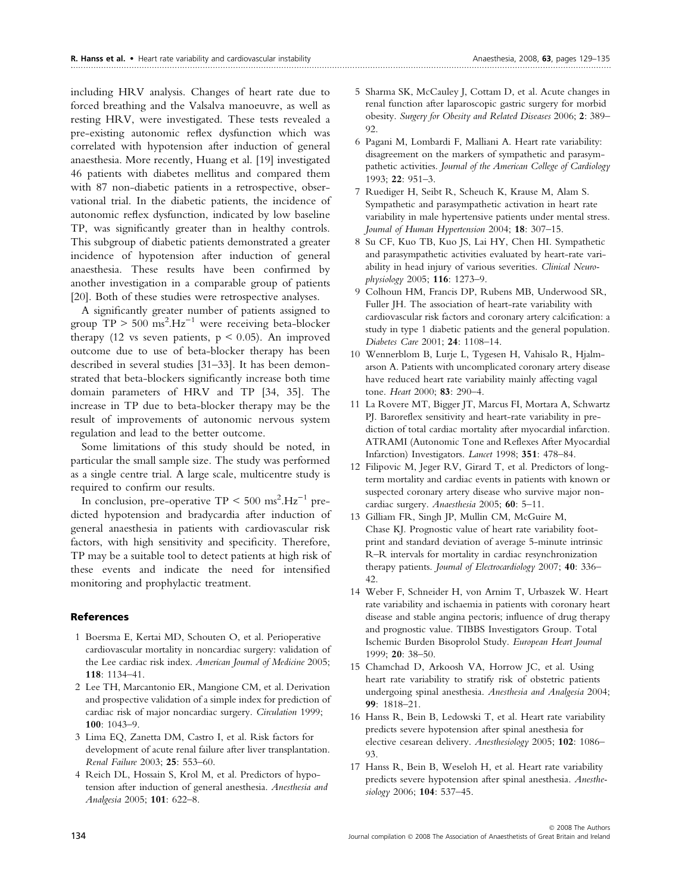including HRV analysis. Changes of heart rate due to forced breathing and the Valsalva manoeuvre, as well as resting HRV, were investigated. These tests revealed a pre-existing autonomic reflex dysfunction which was correlated with hypotension after induction of general anaesthesia. More recently, Huang et al. [19] investigated 46 patients with diabetes mellitus and compared them with 87 non-diabetic patients in a retrospective, observational trial. In the diabetic patients, the incidence of autonomic reflex dysfunction, indicated by low baseline TP, was significantly greater than in healthy controls. This subgroup of diabetic patients demonstrated a greater incidence of hypotension after induction of general anaesthesia. These results have been confirmed by another investigation in a comparable group of patients [20]. Both of these studies were retrospective analyses.

A significantly greater number of patients assigned to group  $TP > 500 \text{ ms}^2 \text{.Hz}^{-1}$  were receiving beta-blocker therapy (12 vs seven patients,  $p < 0.05$ ). An improved outcome due to use of beta-blocker therapy has been described in several studies [31–33]. It has been demonstrated that beta-blockers significantly increase both time domain parameters of HRV and TP [34, 35]. The increase in TP due to beta-blocker therapy may be the result of improvements of autonomic nervous system regulation and lead to the better outcome.

Some limitations of this study should be noted, in particular the small sample size. The study was performed as a single centre trial. A large scale, multicentre study is required to confirm our results.

In conclusion, pre-operative  $TP < 500 \text{ ms}^2 \text{.Hz}^{-1}$  predicted hypotension and bradycardia after induction of general anaesthesia in patients with cardiovascular risk factors, with high sensitivity and specificity. Therefore, TP may be a suitable tool to detect patients at high risk of these events and indicate the need for intensified monitoring and prophylactic treatment.

#### References

- 1 Boersma E, Kertai MD, Schouten O, et al. Perioperative cardiovascular mortality in noncardiac surgery: validation of the Lee cardiac risk index. American Journal of Medicine 2005; 118: 1134–41.
- 2 Lee TH, Marcantonio ER, Mangione CM, et al. Derivation and prospective validation of a simple index for prediction of cardiac risk of major noncardiac surgery. Circulation 1999; 100: 1043–9.
- 3 Lima EQ, Zanetta DM, Castro I, et al. Risk factors for development of acute renal failure after liver transplantation. Renal Failure 2003; 25: 553–60.
- 4 Reich DL, Hossain S, Krol M, et al. Predictors of hypotension after induction of general anesthesia. Anesthesia and Analgesia 2005; 101: 622–8.
- 5 Sharma SK, McCauley J, Cottam D, et al. Acute changes in renal function after laparoscopic gastric surgery for morbid obesity. Surgery for Obesity and Related Diseases 2006; 2: 389– 92.
- 6 Pagani M, Lombardi F, Malliani A. Heart rate variability: disagreement on the markers of sympathetic and parasympathetic activities. Journal of the American College of Cardiology 1993; 22: 951–3.
- 7 Ruediger H, Seibt R, Scheuch K, Krause M, Alam S. Sympathetic and parasympathetic activation in heart rate variability in male hypertensive patients under mental stress. Journal of Human Hypertension 2004; 18: 307–15.
- 8 Su CF, Kuo TB, Kuo JS, Lai HY, Chen HI. Sympathetic and parasympathetic activities evaluated by heart-rate variability in head injury of various severities. Clinical Neurophysiology 2005; 116: 1273–9.
- 9 Colhoun HM, Francis DP, Rubens MB, Underwood SR, Fuller JH. The association of heart-rate variability with cardiovascular risk factors and coronary artery calcification: a study in type 1 diabetic patients and the general population. Diabetes Care 2001; 24: 1108–14.
- 10 Wennerblom B, Lurje L, Tygesen H, Vahisalo R, Hjalmarson A. Patients with uncomplicated coronary artery disease have reduced heart rate variability mainly affecting vagal tone. Heart 2000; 83: 290–4.
- 11 La Rovere MT, Bigger JT, Marcus FI, Mortara A, Schwartz PJ. Baroreflex sensitivity and heart-rate variability in prediction of total cardiac mortality after myocardial infarction. ATRAMI (Autonomic Tone and Reflexes After Myocardial Infarction) Investigators. Lancet 1998; 351: 478–84.
- 12 Filipovic M, Jeger RV, Girard T, et al. Predictors of longterm mortality and cardiac events in patients with known or suspected coronary artery disease who survive major noncardiac surgery. Anaesthesia 2005; 60: 5-11.
- 13 Gilliam FR, Singh JP, Mullin CM, McGuire M, Chase KJ. Prognostic value of heart rate variability footprint and standard deviation of average 5-minute intrinsic R–R intervals for mortality in cardiac resynchronization therapy patients. Journal of Electrocardiology 2007; 40: 336-42.
- 14 Weber F, Schneider H, von Arnim T, Urbaszek W. Heart rate variability and ischaemia in patients with coronary heart disease and stable angina pectoris; influence of drug therapy and prognostic value. TIBBS Investigators Group. Total Ischemic Burden Bisoprolol Study. European Heart Journal 1999; 20: 38–50.
- 15 Chamchad D, Arkoosh VA, Horrow JC, et al. Using heart rate variability to stratify risk of obstetric patients undergoing spinal anesthesia. Anesthesia and Analgesia 2004; 99: 1818–21.
- 16 Hanss R, Bein B, Ledowski T, et al. Heart rate variability predicts severe hypotension after spinal anesthesia for elective cesarean delivery. Anesthesiology 2005; 102: 1086– 93.
- 17 Hanss R, Bein B, Weseloh H, et al. Heart rate variability predicts severe hypotension after spinal anesthesia. Anesthesiology 2006; 104: 537-45.